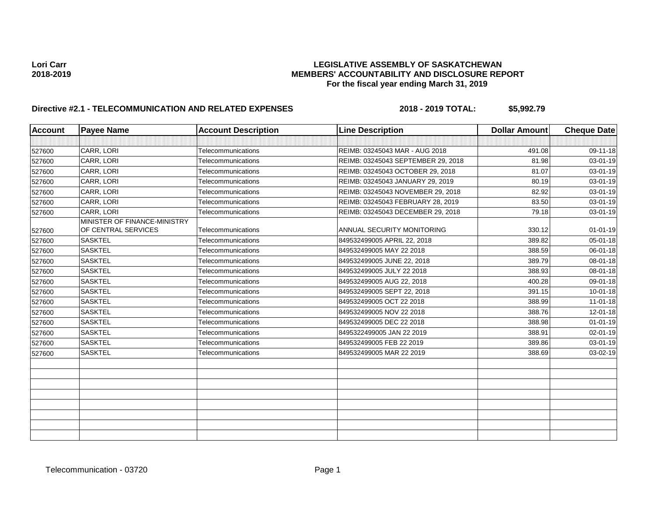| <b>Account</b> | <b>Payee Name</b>                                   | <b>Account Description</b> | <b>Line Description</b>            | <b>Dollar Amount</b> | <b>Cheque Date</b> |
|----------------|-----------------------------------------------------|----------------------------|------------------------------------|----------------------|--------------------|
|                |                                                     |                            |                                    |                      |                    |
| 527600         | CARR, LORI                                          | Telecommunications         | REIMB: 03245043 MAR - AUG 2018     | 491.08               | 09-11-18           |
| 527600         | CARR, LORI                                          | Telecommunications         | REIMB: 03245043 SEPTEMBER 29, 2018 | 81.98                | $03 - 01 - 19$     |
| 527600         | CARR, LORI                                          | Telecommunications         | REIMB: 03245043 OCTOBER 29, 2018   | 81.07                | 03-01-19           |
| 527600         | CARR, LORI                                          | Telecommunications         | REIMB: 03245043 JANUARY 29, 2019   | 80.19                | 03-01-19           |
| 527600         | CARR. LORI                                          | Telecommunications         | REIMB: 03245043 NOVEMBER 29, 2018  | 82.92                | 03-01-19           |
| 527600         | CARR, LORI                                          | Telecommunications         | REIMB: 03245043 FEBRUARY 28, 2019  | 83.50                | 03-01-19           |
| 527600         | CARR, LORI                                          | Telecommunications         | REIMB: 03245043 DECEMBER 29, 2018  | 79.18                | 03-01-19           |
| 527600         | MINISTER OF FINANCE-MINISTRY<br>OF CENTRAL SERVICES | Telecommunications         | ANNUAL SECURITY MONITORING         | 330.12               | $01 - 01 - 19$     |
| 527600         | <b>SASKTEL</b>                                      | Telecommunications         | 849532499005 APRIL 22, 2018        | 389.82               | $05 - 01 - 18$     |
| 527600         | <b>SASKTEL</b>                                      | Telecommunications         | 849532499005 MAY 22 2018           | 388.59               | 06-01-18           |
| 527600         | <b>SASKTEL</b>                                      | Telecommunications         | 849532499005 JUNE 22, 2018         | 389.79               | 08-01-18           |
| 527600         | <b>SASKTEL</b>                                      | Telecommunications         | 849532499005 JULY 22 2018          | 388.93               | 08-01-18           |
| 527600         | <b>SASKTEL</b>                                      | Telecommunications         | 849532499005 AUG 22, 2018          | 400.28               | 09-01-18           |
| 527600         | <b>SASKTEL</b>                                      | Telecommunications         | 849532499005 SEPT 22, 2018         | 391.15               | $10 - 01 - 18$     |
| 527600         | <b>SASKTEL</b>                                      | Telecommunications         | 849532499005 OCT 22 2018           | 388.99               | $11-01-18$         |
| 527600         | <b>SASKTEL</b>                                      | Telecommunications         | 849532499005 NOV 22 2018           | 388.76               | $12 - 01 - 18$     |
| 527600         | <b>SASKTEL</b>                                      | Telecommunications         | 849532499005 DEC 22 2018           | 388.98               | $01 - 01 - 19$     |
| 527600         | <b>SASKTEL</b>                                      | Telecommunications         | 8495322499005 JAN 22 2019          | 388.91               | $02 - 01 - 19$     |
| 527600         | <b>SASKTEL</b>                                      | Telecommunications         | 849532499005 FEB 22 2019           | 389.86               | $03 - 01 - 19$     |
| 527600         | <b>SASKTEL</b>                                      | Telecommunications         | 849532499005 MAR 22 2019           | 388.69               | 03-02-19           |
|                |                                                     |                            |                                    |                      |                    |
|                |                                                     |                            |                                    |                      |                    |
|                |                                                     |                            |                                    |                      |                    |
|                |                                                     |                            |                                    |                      |                    |
|                |                                                     |                            |                                    |                      |                    |
|                |                                                     |                            |                                    |                      |                    |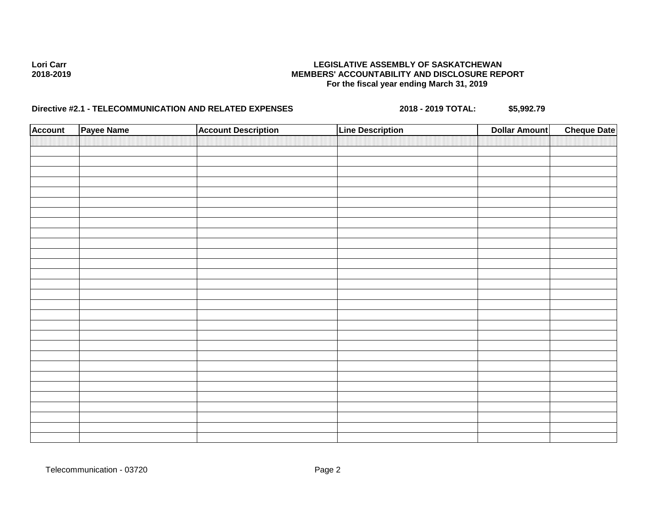| <b>Account</b> | Payee Name | <b>Account Description</b> | <b>Line Description</b> | <b>Dollar Amount</b> | <b>Cheque Date</b> |
|----------------|------------|----------------------------|-------------------------|----------------------|--------------------|
|                |            |                            |                         |                      |                    |
|                |            |                            |                         |                      |                    |
|                |            |                            |                         |                      |                    |
|                |            |                            |                         |                      |                    |
|                |            |                            |                         |                      |                    |
|                |            |                            |                         |                      |                    |
|                |            |                            |                         |                      |                    |
|                |            |                            |                         |                      |                    |
|                |            |                            |                         |                      |                    |
|                |            |                            |                         |                      |                    |
|                |            |                            |                         |                      |                    |
|                |            |                            |                         |                      |                    |
|                |            |                            |                         |                      |                    |
|                |            |                            |                         |                      |                    |
|                |            |                            |                         |                      |                    |
|                |            |                            |                         |                      |                    |
|                |            |                            |                         |                      |                    |
|                |            |                            |                         |                      |                    |
|                |            |                            |                         |                      |                    |
|                |            |                            |                         |                      |                    |
|                |            |                            |                         |                      |                    |
|                |            |                            |                         |                      |                    |
|                |            |                            |                         |                      |                    |
|                |            |                            |                         |                      |                    |
|                |            |                            |                         |                      |                    |
|                |            |                            |                         |                      |                    |
|                |            |                            |                         |                      |                    |
|                |            |                            |                         |                      |                    |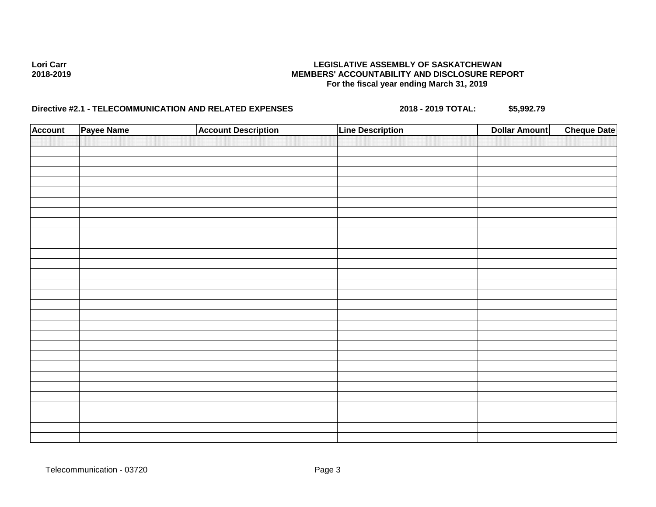| <b>Account</b> | Payee Name | <b>Account Description</b> | <b>Line Description</b> | <b>Dollar Amount</b> | <b>Cheque Date</b> |
|----------------|------------|----------------------------|-------------------------|----------------------|--------------------|
|                |            |                            |                         |                      |                    |
|                |            |                            |                         |                      |                    |
|                |            |                            |                         |                      |                    |
|                |            |                            |                         |                      |                    |
|                |            |                            |                         |                      |                    |
|                |            |                            |                         |                      |                    |
|                |            |                            |                         |                      |                    |
|                |            |                            |                         |                      |                    |
|                |            |                            |                         |                      |                    |
|                |            |                            |                         |                      |                    |
|                |            |                            |                         |                      |                    |
|                |            |                            |                         |                      |                    |
|                |            |                            |                         |                      |                    |
|                |            |                            |                         |                      |                    |
|                |            |                            |                         |                      |                    |
|                |            |                            |                         |                      |                    |
|                |            |                            |                         |                      |                    |
|                |            |                            |                         |                      |                    |
|                |            |                            |                         |                      |                    |
|                |            |                            |                         |                      |                    |
|                |            |                            |                         |                      |                    |
|                |            |                            |                         |                      |                    |
|                |            |                            |                         |                      |                    |
|                |            |                            |                         |                      |                    |
|                |            |                            |                         |                      |                    |
|                |            |                            |                         |                      |                    |
|                |            |                            |                         |                      |                    |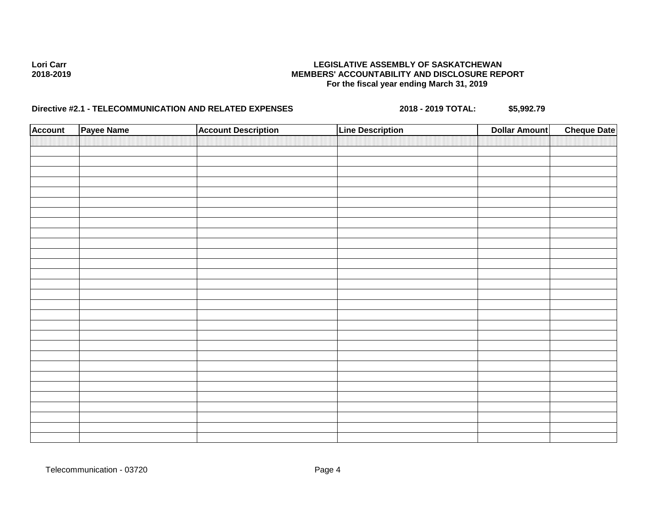| <b>Account</b> | Payee Name | <b>Account Description</b> | <b>Line Description</b> | <b>Dollar Amount</b> | <b>Cheque Date</b> |
|----------------|------------|----------------------------|-------------------------|----------------------|--------------------|
|                |            |                            |                         |                      |                    |
|                |            |                            |                         |                      |                    |
|                |            |                            |                         |                      |                    |
|                |            |                            |                         |                      |                    |
|                |            |                            |                         |                      |                    |
|                |            |                            |                         |                      |                    |
|                |            |                            |                         |                      |                    |
|                |            |                            |                         |                      |                    |
|                |            |                            |                         |                      |                    |
|                |            |                            |                         |                      |                    |
|                |            |                            |                         |                      |                    |
|                |            |                            |                         |                      |                    |
|                |            |                            |                         |                      |                    |
|                |            |                            |                         |                      |                    |
|                |            |                            |                         |                      |                    |
|                |            |                            |                         |                      |                    |
|                |            |                            |                         |                      |                    |
|                |            |                            |                         |                      |                    |
|                |            |                            |                         |                      |                    |
|                |            |                            |                         |                      |                    |
|                |            |                            |                         |                      |                    |
|                |            |                            |                         |                      |                    |
|                |            |                            |                         |                      |                    |
|                |            |                            |                         |                      |                    |
|                |            |                            |                         |                      |                    |
|                |            |                            |                         |                      |                    |
|                |            |                            |                         |                      |                    |
|                |            |                            |                         |                      |                    |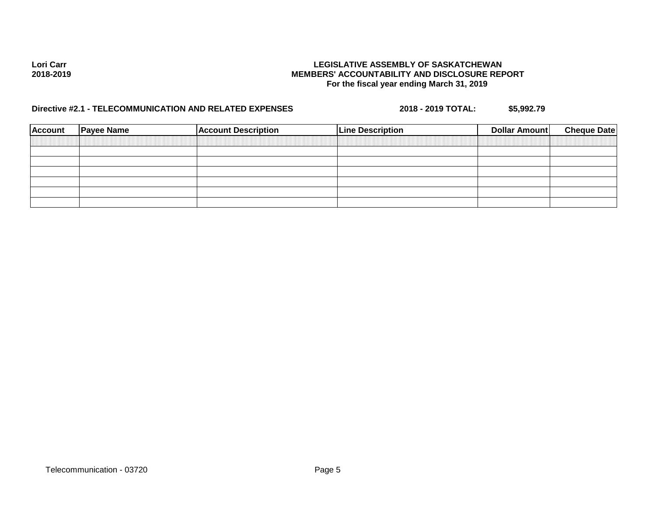| <b>Account</b> | <b>Payee Name</b> | <b>Account Description</b> | <b>Line Description</b> | <b>Dollar Amount</b> | <b>Cheque Date</b> |
|----------------|-------------------|----------------------------|-------------------------|----------------------|--------------------|
|                |                   |                            |                         |                      |                    |
|                |                   |                            |                         |                      |                    |
|                |                   |                            |                         |                      |                    |
|                |                   |                            |                         |                      |                    |
|                |                   |                            |                         |                      |                    |
|                |                   |                            |                         |                      |                    |
|                |                   |                            |                         |                      |                    |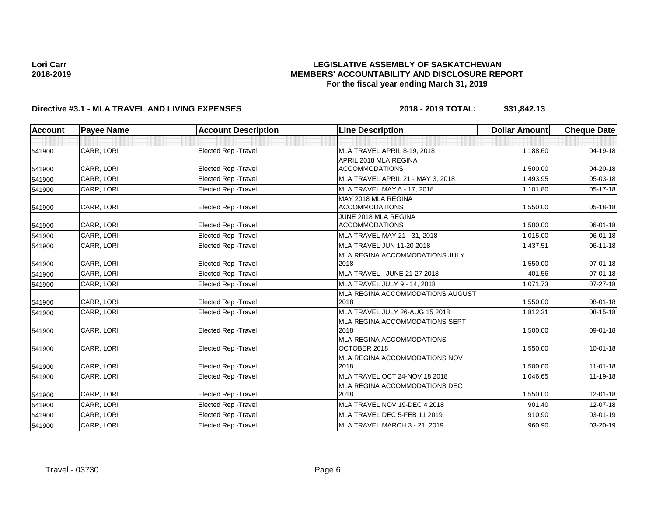## **LEGISLATIVE ASSEMBLY OF SASKATCHEWAN MEMBERS' ACCOUNTABILITY AND DISCLOSURE REPORT For the fiscal year ending March 31, 2019**

# **Directive #3.1 - MLA TRAVEL AND LIVING EXPENSES 2018 - 2019 TOTAL: \$31,842.13**

| <b>Account</b> | <b>Payee Name</b> | <b>Account Description</b>  | <b>Line Description</b>           | <b>Dollar Amount</b> | <b>Cheque Date</b> |
|----------------|-------------------|-----------------------------|-----------------------------------|----------------------|--------------------|
|                |                   |                             |                                   |                      |                    |
| 541900         | CARR, LORI        | Elected Rep - Travel        | MLA TRAVEL APRIL 8-19, 2018       | 1,188.60             | 04-19-18           |
|                |                   |                             | APRIL 2018 MLA REGINA             |                      |                    |
| 541900         | CARR, LORI        | Elected Rep - Travel        | <b>ACCOMMODATIONS</b>             | 1,500.00             | 04-20-18           |
| 541900         | CARR, LORI        | <b>Elected Rep - Travel</b> | MLA TRAVEL APRIL 21 - MAY 3, 2018 | 1,493.95             | $05 - 03 - 18$     |
| 541900         | CARR, LORI        | <b>Elected Rep - Travel</b> | MLA TRAVEL MAY 6 - 17, 2018       | 1,101.80             | $05 - 17 - 18$     |
|                |                   |                             | MAY 2018 MLA REGINA               |                      |                    |
| 541900         | CARR, LORI        | Elected Rep - Travel        | <b>ACCOMMODATIONS</b>             | 1,550.00             | 05-18-18           |
|                |                   |                             | JUNE 2018 MLA REGINA              |                      |                    |
| 541900         | CARR, LORI        | Elected Rep - Travel        | <b>ACCOMMODATIONS</b>             | 1,500.00             | 06-01-18           |
| 541900         | CARR, LORI        | <b>Elected Rep - Travel</b> | MLA TRAVEL MAY 21 - 31, 2018      | 1,015.00             | 06-01-18           |
| 541900         | CARR, LORI        | Elected Rep - Travel        | MLA TRAVEL JUN 11-20 2018         | 1,437.51             | 06-11-18           |
|                |                   |                             | MLA REGINA ACCOMMODATIONS JULY    |                      |                    |
| 541900         | CARR, LORI        | Elected Rep - Travel        | 2018                              | 1,550.00             | 07-01-18           |
| 541900         | CARR, LORI        | Elected Rep - Travel        | MLA TRAVEL - JUNE 21-27 2018      | 401.56               | $07 - 01 - 18$     |
| 541900         | CARR, LORI        | <b>Elected Rep - Travel</b> | MLA TRAVEL JULY 9 - 14, 2018      | 1,071.73             | $07 - 27 - 18$     |
|                |                   |                             | MLA REGINA ACCOMMODATIONS AUGUST  |                      |                    |
| 541900         | CARR, LORI        | <b>Elected Rep - Travel</b> | 2018                              | 1,550.00             | 08-01-18           |
| 541900         | CARR, LORI        | <b>Elected Rep - Travel</b> | MLA TRAVEL JULY 26-AUG 15 2018    | 1,812.31             | 08-15-18           |
|                |                   |                             | MLA REGINA ACCOMMODATIONS SEPT    |                      |                    |
| 541900         | CARR, LORI        | Elected Rep - Travel        | 2018                              | 1,500.00             | 09-01-18           |
|                |                   |                             | <b>MLA REGINA ACCOMMODATIONS</b>  |                      |                    |
| 541900         | CARR, LORI        | <b>Elected Rep - Travel</b> | OCTOBER 2018                      | 1,550.00             | $10 - 01 - 18$     |
|                |                   |                             | MLA REGINA ACCOMMODATIONS NOV     |                      |                    |
| 541900         | CARR, LORI        | <b>Elected Rep - Travel</b> | 2018                              | 1.500.00             | $11 - 01 - 18$     |
| 541900         | CARR, LORI        | Elected Rep - Travel        | MLA TRAVEL OCT 24-NOV 18 2018     | 1,046.65             | 11-19-18           |
|                |                   |                             | MLA REGINA ACCOMMODATIONS DEC     |                      |                    |
| 541900         | CARR, LORI        | <b>Elected Rep - Travel</b> | 2018                              | 1,550.00             | $12 - 01 - 18$     |
| 541900         | CARR, LORI        | <b>Elected Rep - Travel</b> | MLA TRAVEL NOV 19-DEC 4 2018      | 901.40               | 12-07-18           |
| 541900         | CARR, LORI        | Elected Rep - Travel        | MLA TRAVEL DEC 5-FEB 11 2019      | 910.90               | $03 - 01 - 19$     |
| 541900         | CARR, LORI        | Elected Rep - Travel        | MLA TRAVEL MARCH 3 - 21, 2019     | 960.90               | 03-20-19           |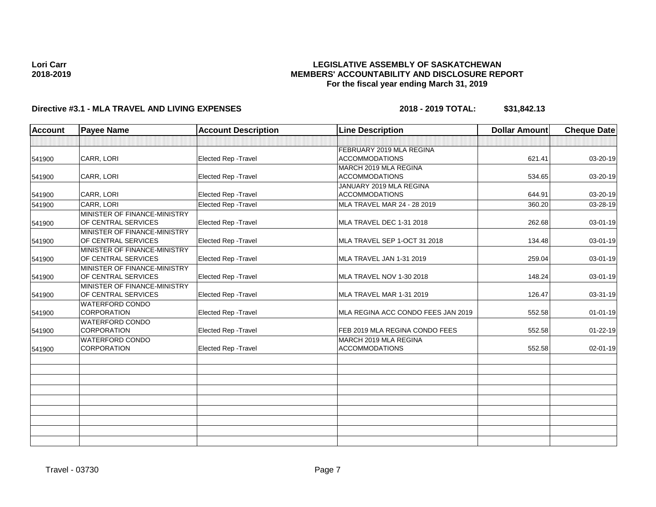## **LEGISLATIVE ASSEMBLY OF SASKATCHEWAN MEMBERS' ACCOUNTABILITY AND DISCLOSURE REPORT For the fiscal year ending March 31, 2019**

# **Directive #3.1 - MLA TRAVEL AND LIVING EXPENSES 2018 - 2019 TOTAL: \$31,842.13**

| <b>Account</b> | <b>Payee Name</b>                                          | <b>Account Description</b>  | <b>Line Description</b>                           | <b>Dollar Amount</b> | <b>Cheque Date</b> |
|----------------|------------------------------------------------------------|-----------------------------|---------------------------------------------------|----------------------|--------------------|
|                |                                                            |                             |                                                   |                      |                    |
| 541900         | CARR, LORI                                                 | Elected Rep - Travel        | FEBRUARY 2019 MLA REGINA<br><b>ACCOMMODATIONS</b> | 621.41               | 03-20-19           |
| 541900         | CARR, LORI                                                 | Elected Rep - Travel        | MARCH 2019 MLA REGINA<br><b>ACCOMMODATIONS</b>    | 534.65               | 03-20-19           |
| 541900         | CARR, LORI                                                 | Elected Rep - Travel        | JANUARY 2019 MLA REGINA<br><b>ACCOMMODATIONS</b>  | 644.91               | 03-20-19           |
| 541900         | <b>CARR. LORI</b>                                          | Elected Rep - Travel        | MLA TRAVEL MAR 24 - 28 2019                       | 360.20               | 03-28-19           |
| 541900         | MINISTER OF FINANCE-MINISTRY<br>OF CENTRAL SERVICES        | Elected Rep - Travel        | MLA TRAVEL DEC 1-31 2018                          | 262.68               | 03-01-19           |
| 541900         | <b>MINISTER OF FINANCE-MINISTRY</b><br>OF CENTRAL SERVICES | Elected Rep - Travel        | MLA TRAVEL SEP 1-OCT 31 2018                      | 134.48               | 03-01-19           |
| 541900         | MINISTER OF FINANCE-MINISTRY<br>OF CENTRAL SERVICES        | Elected Rep - Travel        | MLA TRAVEL JAN 1-31 2019                          | 259.04               | 03-01-19           |
| 541900         | MINISTER OF FINANCE-MINISTRY<br>OF CENTRAL SERVICES        | Elected Rep - Travel        | MLA TRAVEL NOV 1-30 2018                          | 148.24               | 03-01-19           |
| 541900         | MINISTER OF FINANCE-MINISTRY<br>OF CENTRAL SERVICES        | Elected Rep - Travel        | MLA TRAVEL MAR 1-31 2019                          | 126.47               | 03-31-19           |
| 541900         | <b>WATERFORD CONDO</b><br><b>CORPORATION</b>               | Elected Rep - Travel        | MLA REGINA ACC CONDO FEES JAN 2019                | 552.58               | $01 - 01 - 19$     |
| 541900         | <b>WATERFORD CONDO</b><br><b>CORPORATION</b>               | <b>Elected Rep - Travel</b> | FEB 2019 MLA REGINA CONDO FEES                    | 552.58               | $01 - 22 - 19$     |
| 541900         | <b>WATERFORD CONDO</b><br>CORPORATION                      | <b>Elected Rep - Travel</b> | MARCH 2019 MLA REGINA<br><b>ACCOMMODATIONS</b>    | 552.58               | 02-01-19           |
|                |                                                            |                             |                                                   |                      |                    |
|                |                                                            |                             |                                                   |                      |                    |
|                |                                                            |                             |                                                   |                      |                    |
|                |                                                            |                             |                                                   |                      |                    |
|                |                                                            |                             |                                                   |                      |                    |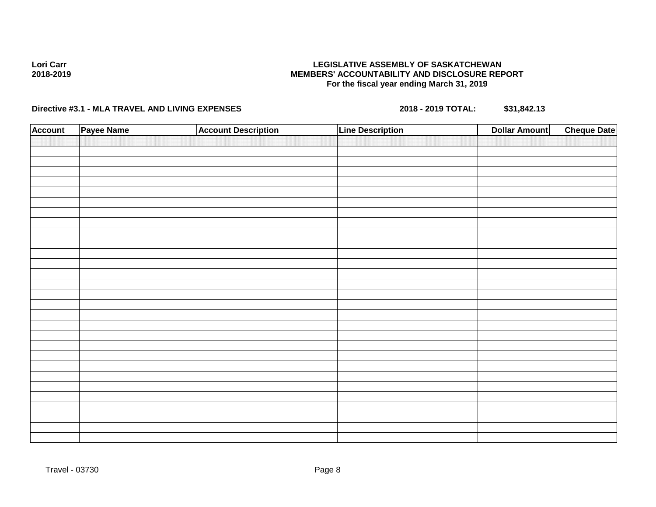# **Directive #3.1 - MLA TRAVEL AND LIVING EXPENSES 2018 - 2019 TOTAL: \$31,842.13**

| <b>Account</b> | Payee Name | <b>Account Description</b> | <b>Line Description</b> | <b>Dollar Amount</b> | <b>Cheque Date</b> |
|----------------|------------|----------------------------|-------------------------|----------------------|--------------------|
|                |            |                            |                         |                      |                    |
|                |            |                            |                         |                      |                    |
|                |            |                            |                         |                      |                    |
|                |            |                            |                         |                      |                    |
|                |            |                            |                         |                      |                    |
|                |            |                            |                         |                      |                    |
|                |            |                            |                         |                      |                    |
|                |            |                            |                         |                      |                    |
|                |            |                            |                         |                      |                    |
|                |            |                            |                         |                      |                    |
|                |            |                            |                         |                      |                    |
|                |            |                            |                         |                      |                    |
|                |            |                            |                         |                      |                    |
|                |            |                            |                         |                      |                    |
|                |            |                            |                         |                      |                    |
|                |            |                            |                         |                      |                    |
|                |            |                            |                         |                      |                    |
|                |            |                            |                         |                      |                    |
|                |            |                            |                         |                      |                    |
|                |            |                            |                         |                      |                    |
|                |            |                            |                         |                      |                    |
|                |            |                            |                         |                      |                    |
|                |            |                            |                         |                      |                    |
|                |            |                            |                         |                      |                    |
|                |            |                            |                         |                      |                    |
|                |            |                            |                         |                      |                    |
|                |            |                            |                         |                      |                    |
|                |            |                            |                         |                      |                    |
|                |            |                            |                         |                      |                    |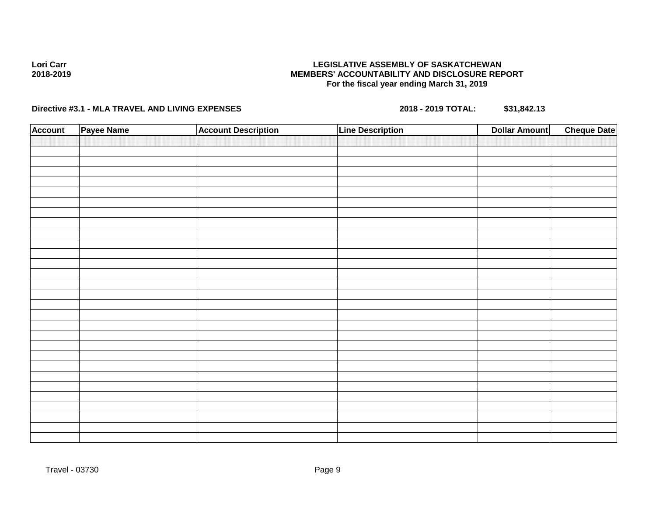# **Directive #3.1 - MLA TRAVEL AND LIVING EXPENSES 2018 - 2019 TOTAL: \$31,842.13**

| <b>Account</b> | Payee Name | <b>Account Description</b> | <b>Line Description</b> | <b>Dollar Amount</b> | <b>Cheque Date</b> |
|----------------|------------|----------------------------|-------------------------|----------------------|--------------------|
|                |            |                            |                         |                      |                    |
|                |            |                            |                         |                      |                    |
|                |            |                            |                         |                      |                    |
|                |            |                            |                         |                      |                    |
|                |            |                            |                         |                      |                    |
|                |            |                            |                         |                      |                    |
|                |            |                            |                         |                      |                    |
|                |            |                            |                         |                      |                    |
|                |            |                            |                         |                      |                    |
|                |            |                            |                         |                      |                    |
|                |            |                            |                         |                      |                    |
|                |            |                            |                         |                      |                    |
|                |            |                            |                         |                      |                    |
|                |            |                            |                         |                      |                    |
|                |            |                            |                         |                      |                    |
|                |            |                            |                         |                      |                    |
|                |            |                            |                         |                      |                    |
|                |            |                            |                         |                      |                    |
|                |            |                            |                         |                      |                    |
|                |            |                            |                         |                      |                    |
|                |            |                            |                         |                      |                    |
|                |            |                            |                         |                      |                    |
|                |            |                            |                         |                      |                    |
|                |            |                            |                         |                      |                    |
|                |            |                            |                         |                      |                    |
|                |            |                            |                         |                      |                    |
|                |            |                            |                         |                      |                    |
|                |            |                            |                         |                      |                    |
|                |            |                            |                         |                      |                    |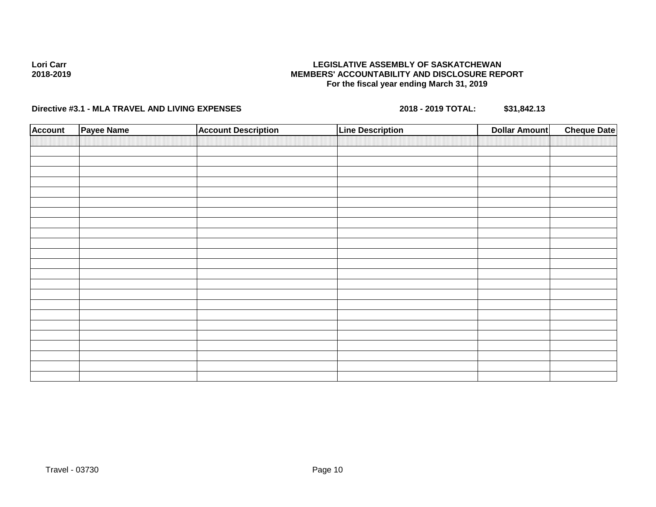# **Directive #3.1 - MLA TRAVEL AND LIVING EXPENSES 2018 - 2019 TOTAL: \$31,842.13**

| <b>Account</b> | Payee Name | <b>Account Description</b> | <b>Line Description</b> | <b>Dollar Amount</b> | <b>Cheque Date</b> |
|----------------|------------|----------------------------|-------------------------|----------------------|--------------------|
|                |            |                            |                         |                      |                    |
|                |            |                            |                         |                      |                    |
|                |            |                            |                         |                      |                    |
|                |            |                            |                         |                      |                    |
|                |            |                            |                         |                      |                    |
|                |            |                            |                         |                      |                    |
|                |            |                            |                         |                      |                    |
|                |            |                            |                         |                      |                    |
|                |            |                            |                         |                      |                    |
|                |            |                            |                         |                      |                    |
|                |            |                            |                         |                      |                    |
|                |            |                            |                         |                      |                    |
|                |            |                            |                         |                      |                    |
|                |            |                            |                         |                      |                    |
|                |            |                            |                         |                      |                    |
|                |            |                            |                         |                      |                    |
|                |            |                            |                         |                      |                    |
|                |            |                            |                         |                      |                    |
|                |            |                            |                         |                      |                    |
|                |            |                            |                         |                      |                    |
|                |            |                            |                         |                      |                    |
|                |            |                            |                         |                      |                    |
|                |            |                            |                         |                      |                    |
|                |            |                            |                         |                      |                    |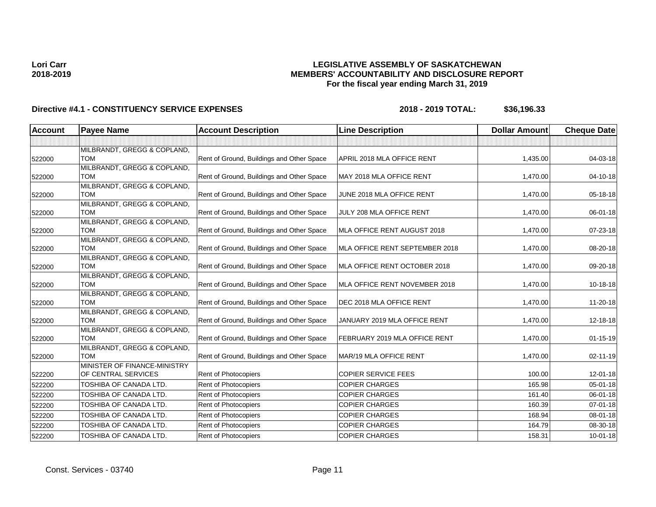## **LEGISLATIVE ASSEMBLY OF SASKATCHEWAN MEMBERS' ACCOUNTABILITY AND DISCLOSURE REPORT For the fiscal year ending March 31, 2019**

| <b>Account</b> | <b>Payee Name</b>                         | <b>Account Description</b>                | <b>Line Description</b>        | <b>Dollar Amount</b> | <b>Cheque Date</b> |
|----------------|-------------------------------------------|-------------------------------------------|--------------------------------|----------------------|--------------------|
|                |                                           |                                           |                                |                      |                    |
|                | MILBRANDT, GREGG & COPLAND,               |                                           |                                |                      |                    |
| 522000         | <b>TOM</b>                                | Rent of Ground, Buildings and Other Space | APRIL 2018 MLA OFFICE RENT     | 1,435.00             | 04-03-18           |
|                | MILBRANDT, GREGG & COPLAND,               |                                           |                                |                      |                    |
| 522000         | <b>TOM</b>                                | Rent of Ground, Buildings and Other Space | MAY 2018 MLA OFFICE RENT       | 1,470.00             | 04-10-18           |
|                | MILBRANDT, GREGG & COPLAND,               |                                           |                                |                      |                    |
| 522000         | <b>TOM</b>                                | Rent of Ground, Buildings and Other Space | JUNE 2018 MLA OFFICE RENT      | 1,470.00             | 05-18-18           |
|                | MILBRANDT, GREGG & COPLAND,               |                                           |                                |                      |                    |
| 522000         | <b>TOM</b>                                | Rent of Ground, Buildings and Other Space | JULY 208 MLA OFFICE RENT       | 1,470.00             | 06-01-18           |
|                | MILBRANDT, GREGG & COPLAND,               |                                           |                                |                      |                    |
| 522000         | <b>TOM</b>                                | Rent of Ground, Buildings and Other Space | MLA OFFICE RENT AUGUST 2018    | 1,470.00             | 07-23-18           |
|                | MILBRANDT, GREGG & COPLAND,<br><b>TOM</b> |                                           | MLA OFFICE RENT SEPTEMBER 2018 | 1,470.00             | 08-20-18           |
| 522000         |                                           | Rent of Ground, Buildings and Other Space |                                |                      |                    |
|                | MILBRANDT, GREGG & COPLAND,<br><b>TOM</b> | Rent of Ground, Buildings and Other Space | MLA OFFICE RENT OCTOBER 2018   | 1,470.00             | 09-20-18           |
| 522000         | MILBRANDT, GREGG & COPLAND,               |                                           |                                |                      |                    |
| 522000         | <b>TOM</b>                                | Rent of Ground, Buildings and Other Space | MLA OFFICE RENT NOVEMBER 2018  | 1,470.00             | $10-18-18$         |
|                | MILBRANDT, GREGG & COPLAND,               |                                           |                                |                      |                    |
| 522000         | <b>TOM</b>                                | Rent of Ground, Buildings and Other Space | DEC 2018 MLA OFFICE RENT       | 1,470.00             | 11-20-18           |
|                | MILBRANDT, GREGG & COPLAND,               |                                           |                                |                      |                    |
| 522000         | <b>TOM</b>                                | Rent of Ground, Buildings and Other Space | JANUARY 2019 MLA OFFICE RENT   | 1,470.00             | 12-18-18           |
|                | MILBRANDT, GREGG & COPLAND,               |                                           |                                |                      |                    |
| 522000         | <b>TOM</b>                                | Rent of Ground, Buildings and Other Space | FEBRUARY 2019 MLA OFFICE RENT  | 1,470.00             | $01 - 15 - 19$     |
|                | MILBRANDT, GREGG & COPLAND,               |                                           |                                |                      |                    |
| 522000         | <b>TOM</b>                                | Rent of Ground, Buildings and Other Space | MAR/19 MLA OFFICE RENT         | 1,470.00             | $02 - 11 - 19$     |
|                | MINISTER OF FINANCE-MINISTRY              |                                           |                                |                      |                    |
| 522200         | OF CENTRAL SERVICES                       | Rent of Photocopiers                      | <b>COPIER SERVICE FEES</b>     | 100.00               | $12 - 01 - 18$     |
| 522200         | TOSHIBA OF CANADA LTD.                    | Rent of Photocopiers                      | <b>COPIER CHARGES</b>          | 165.98               | $05 - 01 - 18$     |
| 522200         | TOSHIBA OF CANADA LTD.                    | Rent of Photocopiers                      | <b>COPIER CHARGES</b>          | 161.40               | 06-01-18           |
| 522200         | TOSHIBA OF CANADA LTD.                    | Rent of Photocopiers                      | <b>COPIER CHARGES</b>          | 160.39               | 07-01-18           |
| 522200         | TOSHIBA OF CANADA LTD.                    | Rent of Photocopiers                      | <b>COPIER CHARGES</b>          | 168.94               | 08-01-18           |
| 522200         | TOSHIBA OF CANADA LTD.                    | Rent of Photocopiers                      | <b>COPIER CHARGES</b>          | 164.79               | 08-30-18           |
| 522200         | TOSHIBA OF CANADA LTD.                    | Rent of Photocopiers                      | <b>COPIER CHARGES</b>          | 158.31               | $10 - 01 - 18$     |
|                |                                           |                                           |                                |                      |                    |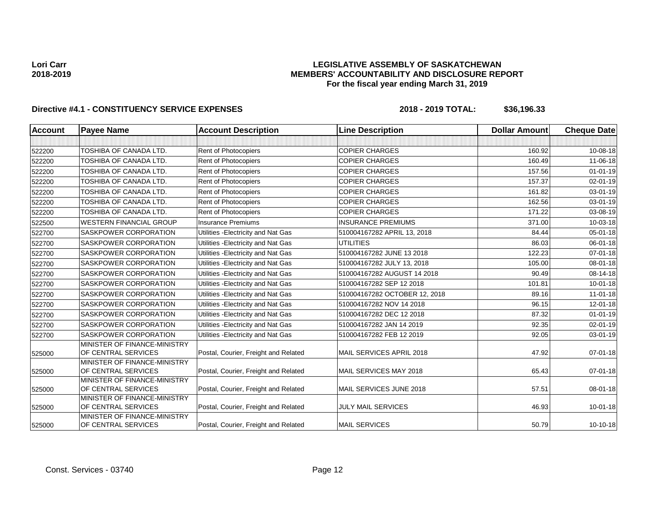### **LEGISLATIVE ASSEMBLY OF SASKATCHEWAN MEMBERS' ACCOUNTABILITY AND DISCLOSURE REPORT For the fiscal year ending March 31, 2019**

| <b>Account</b> | <b>Payee Name</b>                                   | <b>Account Description</b>           | <b>Line Description</b>       | <b>Dollar Amount</b> | <b>Cheque Date</b> |
|----------------|-----------------------------------------------------|--------------------------------------|-------------------------------|----------------------|--------------------|
|                |                                                     |                                      |                               |                      |                    |
| 522200         | TOSHIBA OF CANADA LTD.                              | Rent of Photocopiers                 | <b>COPIER CHARGES</b>         | 160.92               | 10-08-18           |
| 522200         | <b>TOSHIBA OF CANADA LTD.</b>                       | Rent of Photocopiers                 | <b>COPIER CHARGES</b>         | 160.49               | 11-06-18           |
| 522200         | TOSHIBA OF CANADA LTD.                              | Rent of Photocopiers                 | <b>COPIER CHARGES</b>         | 157.56               | $01 - 01 - 19$     |
| 522200         | TOSHIBA OF CANADA LTD.                              | Rent of Photocopiers                 | <b>COPIER CHARGES</b>         | 157.37               | $02 - 01 - 19$     |
| 522200         | TOSHIBA OF CANADA LTD.                              | Rent of Photocopiers                 | <b>COPIER CHARGES</b>         | 161.82               | 03-01-19           |
| 522200         | TOSHIBA OF CANADA LTD.                              | Rent of Photocopiers                 | <b>COPIER CHARGES</b>         | 162.56               | $03 - 01 - 19$     |
| 522200         | <b>TOSHIBA OF CANADA LTD.</b>                       | Rent of Photocopiers                 | <b>COPIER CHARGES</b>         | 171.22               | 03-08-19           |
| 522500         | <b>WESTERN FINANCIAL GROUP</b>                      | <b>Insurance Premiums</b>            | <b>INSURANCE PREMIUMS</b>     | 371.00               | 10-03-18           |
| 522700         | <b>SASKPOWER CORPORATION</b>                        | Utilities - Electricity and Nat Gas  | 510004167282 APRIL 13, 2018   | 84.44                | $05 - 01 - 18$     |
| 522700         | SASKPOWER CORPORATION                               | Utilities - Electricity and Nat Gas  | <b>UTILITIES</b>              | 86.03                | 06-01-18           |
| 522700         | <b>SASKPOWER CORPORATION</b>                        | Utilities - Electricity and Nat Gas  | 510004167282 JUNE 13 2018     | 122.23               | $07 - 01 - 18$     |
| 522700         | <b>SASKPOWER CORPORATION</b>                        | Utilities - Electricity and Nat Gas  | 510004167282 JULY 13, 2018    | 105.00               | 08-01-18           |
| 522700         | <b>SASKPOWER CORPORATION</b>                        | Utilities - Electricity and Nat Gas  | 510004167282 AUGUST 14 2018   | 90.49                | 08-14-18           |
| 522700         | SASKPOWER CORPORATION                               | Utilities - Electricity and Nat Gas  | 510004167282 SEP 12 2018      | 101.81               | 10-01-18           |
| 522700         | <b>SASKPOWER CORPORATION</b>                        | Utilities - Electricity and Nat Gas  | 510004167282 OCTOBER 12, 2018 | 89.16                | 11-01-18           |
| 522700         | <b>SASKPOWER CORPORATION</b>                        | Utilities - Electricity and Nat Gas  | 510004167282 NOV 14 2018      | 96.15                | $12 - 01 - 18$     |
| 522700         | <b>SASKPOWER CORPORATION</b>                        | Utilities - Electricity and Nat Gas  | 510004167282 DEC 12 2018      | 87.32                | $01 - 01 - 19$     |
| 522700         | SASKPOWER CORPORATION                               | Utilities - Electricity and Nat Gas  | 510004167282 JAN 14 2019      | 92.35                | $02 - 01 - 19$     |
| 522700         | SASKPOWER CORPORATION                               | Utilities - Electricity and Nat Gas  | 510004167282 FEB 12 2019      | 92.05                | $03 - 01 - 19$     |
| 525000         | MINISTER OF FINANCE-MINISTRY<br>OF CENTRAL SERVICES | Postal, Courier, Freight and Related | MAIL SERVICES APRIL 2018      | 47.92                | $07 - 01 - 18$     |
| 525000         | MINISTER OF FINANCE-MINISTRY<br>OF CENTRAL SERVICES | Postal, Courier, Freight and Related | MAIL SERVICES MAY 2018        | 65.43                | $07 - 01 - 18$     |
| 525000         | MINISTER OF FINANCE-MINISTRY<br>OF CENTRAL SERVICES | Postal, Courier, Freight and Related | MAIL SERVICES JUNE 2018       | 57.51                | 08-01-18           |
| 525000         | MINISTER OF FINANCE-MINISTRY<br>OF CENTRAL SERVICES | Postal, Courier, Freight and Related | <b>JULY MAIL SERVICES</b>     | 46.93                | $10 - 01 - 18$     |
| 525000         | MINISTER OF FINANCE-MINISTRY<br>OF CENTRAL SERVICES | Postal, Courier, Freight and Related | <b>MAIL SERVICES</b>          | 50.79                | $10-10-18$         |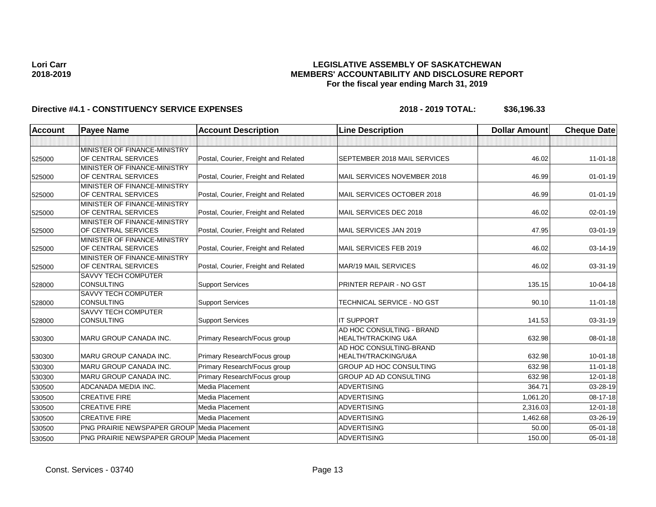### **LEGISLATIVE ASSEMBLY OF SASKATCHEWAN MEMBERS' ACCOUNTABILITY AND DISCLOSURE REPORT For the fiscal year ending March 31, 2019**

| <b>Account</b> | <b>Payee Name</b>                                  | <b>Account Description</b>           | <b>Line Description</b>                                     | <b>Dollar Amount</b> | <b>Cheque Date</b> |
|----------------|----------------------------------------------------|--------------------------------------|-------------------------------------------------------------|----------------------|--------------------|
|                |                                                    |                                      |                                                             |                      |                    |
|                | MINISTER OF FINANCE-MINISTRY                       |                                      |                                                             |                      |                    |
| 525000         | OF CENTRAL SERVICES                                | Postal, Courier, Freight and Related | <b>SEPTEMBER 2018 MAIL SERVICES</b>                         | 46.02                | $11 - 01 - 18$     |
|                | MINISTER OF FINANCE-MINISTRY                       |                                      |                                                             |                      |                    |
| 525000         | OF CENTRAL SERVICES                                | Postal, Courier, Freight and Related | MAIL SERVICES NOVEMBER 2018                                 | 46.99                | $01-01-19$         |
|                | MINISTER OF FINANCE-MINISTRY                       |                                      |                                                             |                      |                    |
| 525000         | OF CENTRAL SERVICES                                | Postal, Courier, Freight and Related | MAIL SERVICES OCTOBER 2018                                  | 46.99                | $01 - 01 - 19$     |
|                | MINISTER OF FINANCE-MINISTRY                       |                                      |                                                             |                      |                    |
| 525000         | OF CENTRAL SERVICES                                | Postal, Courier, Freight and Related | MAIL SERVICES DEC 2018                                      | 46.02                | 02-01-19           |
|                | MINISTER OF FINANCE-MINISTRY                       |                                      |                                                             |                      |                    |
| 525000         | OF CENTRAL SERVICES                                | Postal, Courier, Freight and Related | MAIL SERVICES JAN 2019                                      | 47.95                | 03-01-19           |
|                | MINISTER OF FINANCE-MINISTRY                       |                                      |                                                             |                      |                    |
| 525000         | OF CENTRAL SERVICES                                | Postal, Courier, Freight and Related | MAIL SERVICES FEB 2019                                      | 46.02                | 03-14-19           |
|                | MINISTER OF FINANCE-MINISTRY                       |                                      |                                                             |                      |                    |
| 525000         | OF CENTRAL SERVICES                                | Postal, Courier, Freight and Related | MAR/19 MAIL SERVICES                                        | 46.02                | 03-31-19           |
|                | <b>SAVVY TECH COMPUTER</b>                         |                                      |                                                             |                      |                    |
| 528000         | <b>CONSULTING</b>                                  | <b>Support Services</b>              | PRINTER REPAIR - NO GST                                     | 135.15               | 10-04-18           |
|                | <b>SAVVY TECH COMPUTER</b>                         |                                      |                                                             |                      |                    |
| 528000         | <b>CONSULTING</b>                                  | <b>Support Services</b>              | TECHNICAL SERVICE - NO GST                                  | 90.10                | $11 - 01 - 18$     |
|                | <b>SAVVY TECH COMPUTER</b>                         |                                      |                                                             |                      |                    |
| 528000         | <b>CONSULTING</b>                                  | <b>Support Services</b>              | <b>IT SUPPORT</b>                                           | 141.53               | 03-31-19           |
|                | <b>MARU GROUP CANADA INC.</b>                      |                                      | AD HOC CONSULTING - BRAND<br><b>HEALTH/TRACKING U&amp;A</b> | 632.98               |                    |
| 530300         |                                                    | Primary Research/Focus group         |                                                             |                      | 08-01-18           |
|                | <b>MARU GROUP CANADA INC.</b>                      | Primary Research/Focus group         | AD HOC CONSULTING-BRAND<br>HEALTH/TRACKING/U&A              | 632.98               | $10 - 01 - 18$     |
| 530300         |                                                    |                                      |                                                             |                      |                    |
| 530300         | <b>MARU GROUP CANADA INC.</b>                      | Primary Research/Focus group         | <b>GROUP AD HOC CONSULTING</b>                              | 632.98               | $11 - 01 - 18$     |
| 530300         | <b>MARU GROUP CANADA INC.</b>                      | Primary Research/Focus group         | <b>GROUP AD AD CONSULTING</b>                               | 632.98               | $12 - 01 - 18$     |
| 530500         | ADCANADA MEDIA INC.                                | <b>Media Placement</b>               | <b>ADVERTISING</b>                                          | 364.71               | 03-28-19           |
| 530500         | <b>CREATIVE FIRE</b>                               | Media Placement                      | <b>ADVERTISING</b>                                          | 1,061.20             | 08-17-18           |
| 530500         | <b>CREATIVE FIRE</b>                               | Media Placement                      | <b>ADVERTISING</b>                                          | 2,316.03             | 12-01-18           |
| 530500         | <b>CREATIVE FIRE</b>                               | Media Placement                      | <b>ADVERTISING</b>                                          | 1,462.68             | 03-26-19           |
| 530500         | <b>PNG PRAIRIE NEWSPAPER GROUP Media Placement</b> |                                      | <b>ADVERTISING</b>                                          | 50.00                | 05-01-18           |
| 530500         | PNG PRAIRIE NEWSPAPER GROUP Media Placement        |                                      | <b>ADVERTISING</b>                                          | 150.00               | $05 - 01 - 18$     |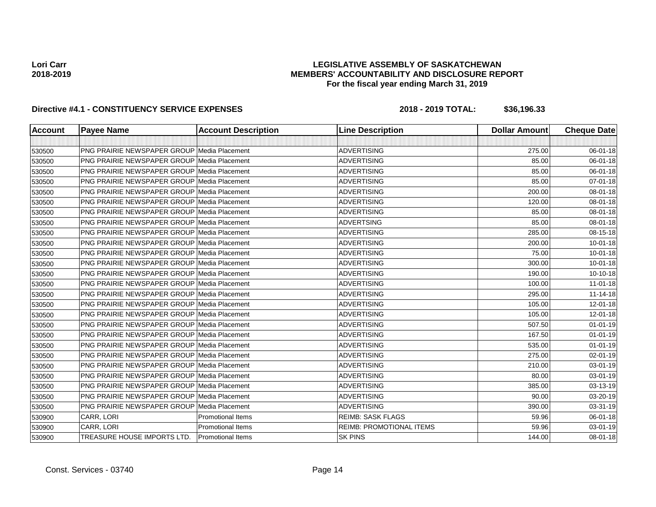### **LEGISLATIVE ASSEMBLY OF SASKATCHEWAN MEMBERS' ACCOUNTABILITY AND DISCLOSURE REPORT For the fiscal year ending March 31, 2019**

| <b>Account</b> | <b>Payee Name</b>                                  | <b>Account Description</b> | <b>Line Description</b>         | <b>Dollar Amount</b> | <b>Cheque Date</b> |
|----------------|----------------------------------------------------|----------------------------|---------------------------------|----------------------|--------------------|
|                |                                                    |                            |                                 |                      |                    |
| 530500         | <b>PNG PRAIRIE NEWSPAPER GROUP Media Placement</b> |                            | <b>ADVERTISING</b>              | 275.00               | 06-01-18           |
| 530500         | <b>PNG PRAIRIE NEWSPAPER GROUP Media Placement</b> |                            | <b>ADVERTISING</b>              | 85.00                | 06-01-18           |
| 530500         | PNG PRAIRIE NEWSPAPER GROUP Media Placement        |                            | <b>ADVERTISING</b>              | 85.00                | 06-01-18           |
| 530500         | <b>PNG PRAIRIE NEWSPAPER GROUP Media Placement</b> |                            | <b>ADVERTISING</b>              | 85.00                | 07-01-18           |
| 530500         | PNG PRAIRIE NEWSPAPER GROUP Media Placement        |                            | <b>ADVERTISING</b>              | 200.00               | 08-01-18           |
| 530500         | <b>PNG PRAIRIE NEWSPAPER GROUP Media Placement</b> |                            | <b>ADVERTISING</b>              | 120.00               | 08-01-18           |
| 530500         | <b>PNG PRAIRIE NEWSPAPER GROUP Media Placement</b> |                            | <b>ADVERTISING</b>              | 85.00                | 08-01-18           |
| 530500         | <b>PNG PRAIRIE NEWSPAPER GROUP Media Placement</b> |                            | <b>ADVERTSING</b>               | 85.00                | 08-01-18           |
| 530500         | <b>PNG PRAIRIE NEWSPAPER GROUP Media Placement</b> |                            | <b>ADVERTISING</b>              | 285.00               | 08-15-18           |
| 530500         | <b>PNG PRAIRIE NEWSPAPER GROUP Media Placement</b> |                            | <b>ADVERTISING</b>              | 200.00               | $10 - 01 - 18$     |
| 530500         | <b>PNG PRAIRIE NEWSPAPER GROUP Media Placement</b> |                            | <b>ADVERTISING</b>              | 75.00                | $10 - 01 - 18$     |
| 530500         | <b>PNG PRAIRIE NEWSPAPER GROUP Media Placement</b> |                            | <b>ADVERTISING</b>              | 300.00               | $10 - 01 - 18$     |
| 530500         | <b>PNG PRAIRIE NEWSPAPER GROUP Media Placement</b> |                            | <b>ADVERTISING</b>              | 190.00               | $10 - 10 - 18$     |
| 530500         | <b>PNG PRAIRIE NEWSPAPER GROUP Media Placement</b> |                            | <b>ADVERTISING</b>              | 100.00               | $11 - 01 - 18$     |
| 530500         | <b>PNG PRAIRIE NEWSPAPER GROUP Media Placement</b> |                            | <b>ADVERTISING</b>              | 295.00               | $11 - 14 - 18$     |
| 530500         | PNG PRAIRIE NEWSPAPER GROUP Media Placement        |                            | <b>ADVERTISING</b>              | 105.00               | 12-01-18           |
| 530500         | <b>PNG PRAIRIE NEWSPAPER GROUP Media Placement</b> |                            | <b>ADVERTISING</b>              | 105.00               | 12-01-18           |
| 530500         | PNG PRAIRIE NEWSPAPER GROUP   Media Placement      |                            | <b>ADVERTISING</b>              | 507.50               | $01 - 01 - 19$     |
| 530500         | <b>PNG PRAIRIE NEWSPAPER GROUP Media Placement</b> |                            | <b>ADVERTISING</b>              | 167.50               | $01 - 01 - 19$     |
| 530500         | <b>PNG PRAIRIE NEWSPAPER GROUP Media Placement</b> |                            | <b>ADVERTISING</b>              | 535.00               | $01 - 01 - 19$     |
| 530500         | <b>PNG PRAIRIE NEWSPAPER GROUP Media Placement</b> |                            | <b>ADVERTISING</b>              | 275.00               | 02-01-19           |
| 530500         | <b>PNG PRAIRIE NEWSPAPER GROUP Media Placement</b> |                            | <b>ADVERTISING</b>              | 210.00               | 03-01-19           |
| 530500         | <b>PNG PRAIRIE NEWSPAPER GROUP Media Placement</b> |                            | <b>ADVERTISING</b>              | 80.00                | 03-01-19           |
| 530500         | PNG PRAIRIE NEWSPAPER GROUP Media Placement        |                            | <b>ADVERTISING</b>              | 385.00               | 03-13-19           |
| 530500         | <b>PNG PRAIRIE NEWSPAPER GROUP Media Placement</b> |                            | <b>ADVERTISING</b>              | 90.00                | 03-20-19           |
| 530500         | <b>PNG PRAIRIE NEWSPAPER GROUP Media Placement</b> |                            | <b>ADVERTISING</b>              | 390.00               | 03-31-19           |
| 530900         | CARR, LORI                                         | <b>Promotional Items</b>   | <b>REIMB: SASK FLAGS</b>        | 59.96                | 06-01-18           |
| 530900         | CARR, LORI                                         | <b>Promotional Items</b>   | <b>REIMB: PROMOTIONAL ITEMS</b> | 59.96                | 03-01-19           |
| 530900         | TREASURE HOUSE IMPORTS LTD.                        | <b>Promotional Items</b>   | <b>SK PINS</b>                  | 144.00               | 08-01-18           |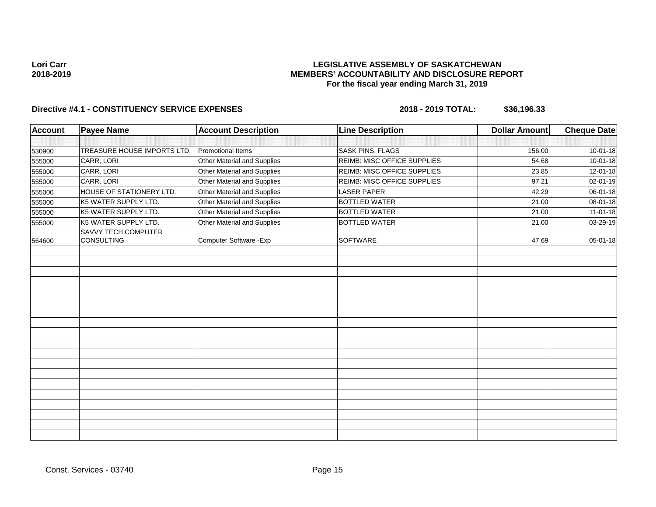## **LEGISLATIVE ASSEMBLY OF SASKATCHEWAN MEMBERS' ACCOUNTABILITY AND DISCLOSURE REPORT For the fiscal year ending March 31, 2019**

| <b>Account</b> | <b>Payee Name</b>                        | <b>Account Description</b>  | <b>Line Description</b>     | <b>Dollar Amount</b> | <b>Cheque Date</b> |
|----------------|------------------------------------------|-----------------------------|-----------------------------|----------------------|--------------------|
|                |                                          |                             |                             |                      |                    |
| 530900         | TREASURE HOUSE IMPORTS LTD.              | <b>Promotional Items</b>    | <b>SASK PINS, FLAGS</b>     | 156.00               | $10 - 01 - 18$     |
| 555000         | CARR, LORI                               | Other Material and Supplies | REIMB: MISC OFFICE SUPPLIES | 54.68                | $10 - 01 - 18$     |
| 555000         | CARR, LORI                               | Other Material and Supplies | REIMB: MISC OFFICE SUPPLIES | 23.85                | 12-01-18           |
| 555000         | CARR, LORI                               | Other Material and Supplies | REIMB: MISC OFFICE SUPPLIES | 97.21                | 02-01-19           |
| 555000         | HOUSE OF STATIONERY LTD.                 | Other Material and Supplies | <b>LASER PAPER</b>          | 42.29                | 06-01-18           |
| 555000         | K5 WATER SUPPLY LTD.                     | Other Material and Supplies | <b>BOTTLED WATER</b>        | 21.00                | 08-01-18           |
| 555000         | K5 WATER SUPPLY LTD.                     | Other Material and Supplies | <b>BOTTLED WATER</b>        | 21.00                | $11-01-18$         |
| 555000         | K5 WATER SUPPLY LTD.                     | Other Material and Supplies | <b>BOTTLED WATER</b>        | 21.00                | 03-29-19           |
| 564600         | <b>SAVVY TECH COMPUTER</b><br>CONSULTING | Computer Software - Exp     | <b>SOFTWARE</b>             | 47.69                | 05-01-18           |
|                |                                          |                             |                             |                      |                    |
|                |                                          |                             |                             |                      |                    |
|                |                                          |                             |                             |                      |                    |
|                |                                          |                             |                             |                      |                    |
|                |                                          |                             |                             |                      |                    |
|                |                                          |                             |                             |                      |                    |
|                |                                          |                             |                             |                      |                    |
|                |                                          |                             |                             |                      |                    |
|                |                                          |                             |                             |                      |                    |
|                |                                          |                             |                             |                      |                    |
|                |                                          |                             |                             |                      |                    |
|                |                                          |                             |                             |                      |                    |
|                |                                          |                             |                             |                      |                    |
|                |                                          |                             |                             |                      |                    |
|                |                                          |                             |                             |                      |                    |
|                |                                          |                             |                             |                      |                    |
|                |                                          |                             |                             |                      |                    |
|                |                                          |                             |                             |                      |                    |
|                |                                          |                             |                             |                      |                    |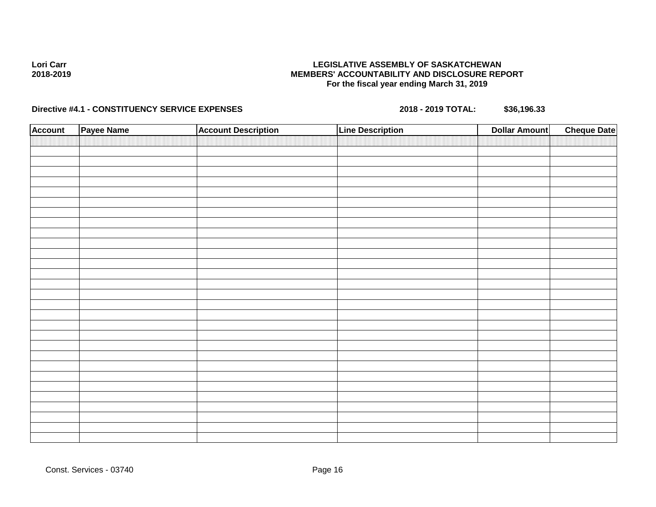## **Directive #4.1 - CONSTITUENCY SERVICE EXPENSES 2018 - 2019 TOTAL: \$36,196.33**

| <b>Account</b> | Payee Name | <b>Account Description</b> | <b>Line Description</b> | <b>Dollar Amount</b> | <b>Cheque Date</b> |
|----------------|------------|----------------------------|-------------------------|----------------------|--------------------|
|                |            |                            |                         |                      |                    |
|                |            |                            |                         |                      |                    |
|                |            |                            |                         |                      |                    |
|                |            |                            |                         |                      |                    |
|                |            |                            |                         |                      |                    |
|                |            |                            |                         |                      |                    |
|                |            |                            |                         |                      |                    |
|                |            |                            |                         |                      |                    |
|                |            |                            |                         |                      |                    |
|                |            |                            |                         |                      |                    |
|                |            |                            |                         |                      |                    |
|                |            |                            |                         |                      |                    |
|                |            |                            |                         |                      |                    |
|                |            |                            |                         |                      |                    |
|                |            |                            |                         |                      |                    |
|                |            |                            |                         |                      |                    |
|                |            |                            |                         |                      |                    |
|                |            |                            |                         |                      |                    |
|                |            |                            |                         |                      |                    |
|                |            |                            |                         |                      |                    |
|                |            |                            |                         |                      |                    |
|                |            |                            |                         |                      |                    |
|                |            |                            |                         |                      |                    |
|                |            |                            |                         |                      |                    |
|                |            |                            |                         |                      |                    |
|                |            |                            |                         |                      |                    |
|                |            |                            |                         |                      |                    |
|                |            |                            |                         |                      |                    |
|                |            |                            |                         |                      |                    |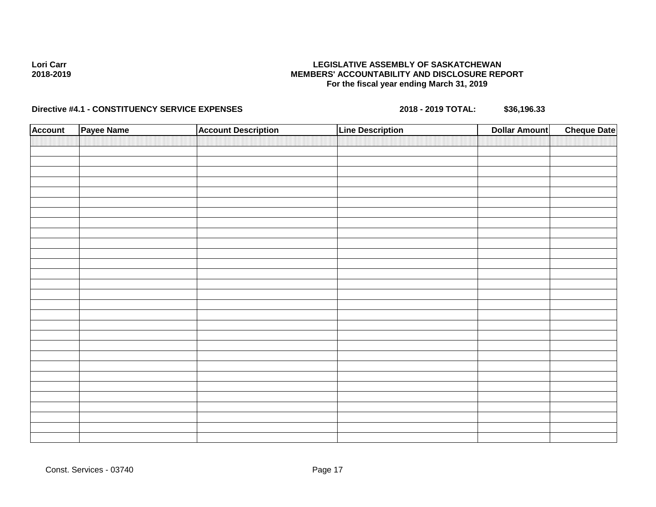## **Directive #4.1 - CONSTITUENCY SERVICE EXPENSES 2018 - 2019 TOTAL: \$36,196.33**

| <b>Account</b> | Payee Name | <b>Account Description</b> | <b>Line Description</b> | <b>Dollar Amount</b> | <b>Cheque Date</b> |
|----------------|------------|----------------------------|-------------------------|----------------------|--------------------|
|                |            |                            |                         |                      |                    |
|                |            |                            |                         |                      |                    |
|                |            |                            |                         |                      |                    |
|                |            |                            |                         |                      |                    |
|                |            |                            |                         |                      |                    |
|                |            |                            |                         |                      |                    |
|                |            |                            |                         |                      |                    |
|                |            |                            |                         |                      |                    |
|                |            |                            |                         |                      |                    |
|                |            |                            |                         |                      |                    |
|                |            |                            |                         |                      |                    |
|                |            |                            |                         |                      |                    |
|                |            |                            |                         |                      |                    |
|                |            |                            |                         |                      |                    |
|                |            |                            |                         |                      |                    |
|                |            |                            |                         |                      |                    |
|                |            |                            |                         |                      |                    |
|                |            |                            |                         |                      |                    |
|                |            |                            |                         |                      |                    |
|                |            |                            |                         |                      |                    |
|                |            |                            |                         |                      |                    |
|                |            |                            |                         |                      |                    |
|                |            |                            |                         |                      |                    |
|                |            |                            |                         |                      |                    |
|                |            |                            |                         |                      |                    |
|                |            |                            |                         |                      |                    |
|                |            |                            |                         |                      |                    |
|                |            |                            |                         |                      |                    |
|                |            |                            |                         |                      |                    |
|                |            |                            |                         |                      |                    |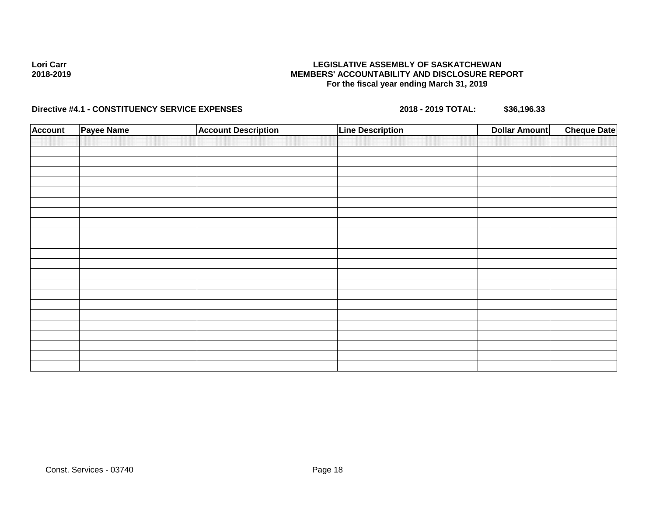## **Directive #4.1 - CONSTITUENCY SERVICE EXPENSES 2018 - 2019 TOTAL: \$36,196.33**

| <b>Account</b> | <b>Payee Name</b> | <b>Account Description</b> | <b>Line Description</b> | <b>Dollar Amount</b> | <b>Cheque Date</b> |
|----------------|-------------------|----------------------------|-------------------------|----------------------|--------------------|
|                |                   |                            |                         |                      |                    |
|                |                   |                            |                         |                      |                    |
|                |                   |                            |                         |                      |                    |
|                |                   |                            |                         |                      |                    |
|                |                   |                            |                         |                      |                    |
|                |                   |                            |                         |                      |                    |
|                |                   |                            |                         |                      |                    |
|                |                   |                            |                         |                      |                    |
|                |                   |                            |                         |                      |                    |
|                |                   |                            |                         |                      |                    |
|                |                   |                            |                         |                      |                    |
|                |                   |                            |                         |                      |                    |
|                |                   |                            |                         |                      |                    |
|                |                   |                            |                         |                      |                    |
|                |                   |                            |                         |                      |                    |
|                |                   |                            |                         |                      |                    |
|                |                   |                            |                         |                      |                    |
|                |                   |                            |                         |                      |                    |
|                |                   |                            |                         |                      |                    |
|                |                   |                            |                         |                      |                    |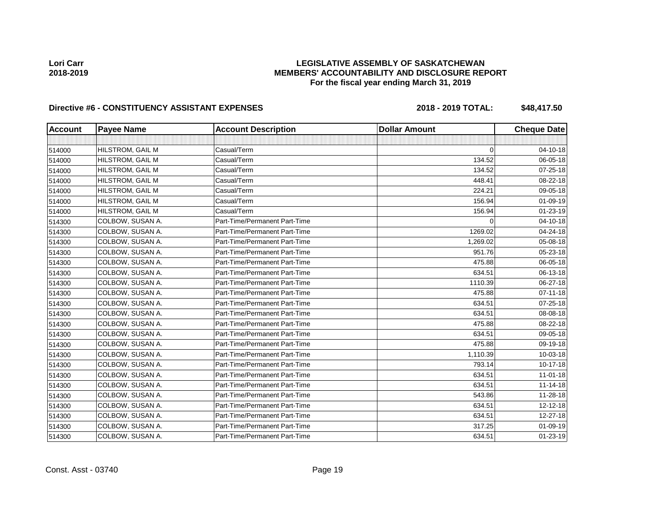## **LEGISLATIVE ASSEMBLY OF SASKATCHEWAN MEMBERS' ACCOUNTABILITY AND DISCLOSURE REPORT For the fiscal year ending March 31, 2019**

| <b>Account</b> | <b>Payee Name</b> | <b>Account Description</b>    | <b>Dollar Amount</b> | <b>Cheque Date</b> |
|----------------|-------------------|-------------------------------|----------------------|--------------------|
|                |                   |                               |                      |                    |
| 514000         | HILSTROM, GAIL M  | Casual/Term                   | $\Omega$             | 04-10-18           |
| 514000         | HILSTROM, GAIL M  | Casual/Term                   | 134.52               | 06-05-18           |
| 514000         | HILSTROM, GAIL M  | Casual/Term                   | 134.52               | $07 - 25 - 18$     |
| 514000         | HILSTROM, GAIL M  | Casual/Term                   | 448.41               | 08-22-18           |
| 514000         | HILSTROM, GAIL M  | Casual/Term                   | 224.21               | 09-05-18           |
| 514000         | HILSTROM, GAIL M  | Casual/Term                   | 156.94               | 01-09-19           |
| 514000         | HILSTROM, GAIL M  | Casual/Term                   | 156.94               | 01-23-19           |
| 514300         | COLBOW, SUSAN A.  | Part-Time/Permanent Part-Time | $\Omega$             | 04-10-18           |
| 514300         | COLBOW, SUSAN A.  | Part-Time/Permanent Part-Time | 1269.02              | 04-24-18           |
| 514300         | COLBOW, SUSAN A.  | Part-Time/Permanent Part-Time | 1,269.02             | 05-08-18           |
| 514300         | COLBOW, SUSAN A.  | Part-Time/Permanent Part-Time | 951.76               | 05-23-18           |
| 514300         | COLBOW, SUSAN A.  | Part-Time/Permanent Part-Time | 475.88               | 06-05-18           |
| 514300         | COLBOW, SUSAN A.  | Part-Time/Permanent Part-Time | 634.51               | 06-13-18           |
| 514300         | COLBOW, SUSAN A.  | Part-Time/Permanent Part-Time | 1110.39              | 06-27-18           |
| 514300         | COLBOW, SUSAN A.  | Part-Time/Permanent Part-Time | 475.88               | $07 - 11 - 18$     |
| 514300         | COLBOW, SUSAN A.  | Part-Time/Permanent Part-Time | 634.51               | $07 - 25 - 18$     |
| 514300         | COLBOW, SUSAN A.  | Part-Time/Permanent Part-Time | 634.51               | 08-08-18           |
| 514300         | COLBOW, SUSAN A.  | Part-Time/Permanent Part-Time | 475.88               | 08-22-18           |
| 514300         | COLBOW, SUSAN A.  | Part-Time/Permanent Part-Time | 634.51               | 09-05-18           |
| 514300         | COLBOW, SUSAN A.  | Part-Time/Permanent Part-Time | 475.88               | 09-19-18           |
| 514300         | COLBOW, SUSAN A.  | Part-Time/Permanent Part-Time | 1,110.39             | 10-03-18           |
| 514300         | COLBOW, SUSAN A.  | Part-Time/Permanent Part-Time | 793.14               | $10-17-18$         |
| 514300         | COLBOW, SUSAN A.  | Part-Time/Permanent Part-Time | 634.51               | $11-01-18$         |
| 514300         | COLBOW, SUSAN A.  | Part-Time/Permanent Part-Time | 634.51               | $11 - 14 - 18$     |
| 514300         | COLBOW, SUSAN A.  | Part-Time/Permanent Part-Time | 543.86               | 11-28-18           |
| 514300         | COLBOW, SUSAN A.  | Part-Time/Permanent Part-Time | 634.51               | $12 - 12 - 18$     |
| 514300         | COLBOW, SUSAN A.  | Part-Time/Permanent Part-Time | 634.51               | 12-27-18           |
| 514300         | COLBOW, SUSAN A.  | Part-Time/Permanent Part-Time | 317.25               | 01-09-19           |
| 514300         | COLBOW, SUSAN A.  | Part-Time/Permanent Part-Time | 634.51               | 01-23-19           |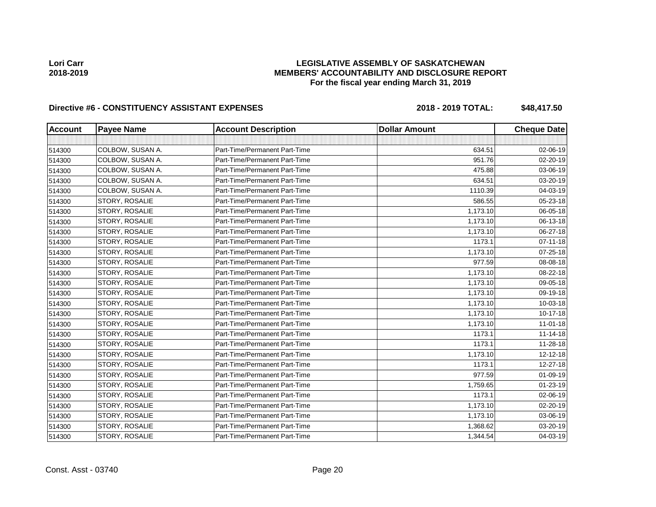## **LEGISLATIVE ASSEMBLY OF SASKATCHEWAN MEMBERS' ACCOUNTABILITY AND DISCLOSURE REPORT For the fiscal year ending March 31, 2019**

| <b>Account</b> | <b>Payee Name</b> | <b>Account Description</b>    | <b>Dollar Amount</b> | <b>Cheque Date</b> |
|----------------|-------------------|-------------------------------|----------------------|--------------------|
|                |                   |                               |                      |                    |
| 514300         | COLBOW, SUSAN A.  | Part-Time/Permanent Part-Time | 634.51               | 02-06-19           |
| 514300         | COLBOW, SUSAN A.  | Part-Time/Permanent Part-Time | 951.76               | 02-20-19           |
| 514300         | COLBOW, SUSAN A.  | Part-Time/Permanent Part-Time | 475.88               | 03-06-19           |
| 514300         | COLBOW, SUSAN A.  | Part-Time/Permanent Part-Time | 634.51               | 03-20-19           |
| 514300         | COLBOW, SUSAN A.  | Part-Time/Permanent Part-Time | 1110.39              | 04-03-19           |
| 514300         | STORY, ROSALIE    | Part-Time/Permanent Part-Time | 586.55               | 05-23-18           |
| 514300         | STORY, ROSALIE    | Part-Time/Permanent Part-Time | 1,173.10             | 06-05-18           |
| 514300         | STORY, ROSALIE    | Part-Time/Permanent Part-Time | 1,173.10             | 06-13-18           |
| 514300         | STORY, ROSALIE    | Part-Time/Permanent Part-Time | 1,173.10             | 06-27-18           |
| 514300         | STORY, ROSALIE    | Part-Time/Permanent Part-Time | 1173.1               | $07 - 11 - 18$     |
| 514300         | STORY, ROSALIE    | Part-Time/Permanent Part-Time | 1,173.10             | 07-25-18           |
| 514300         | STORY, ROSALIE    | Part-Time/Permanent Part-Time | 977.59               | 08-08-18           |
| 514300         | STORY, ROSALIE    | Part-Time/Permanent Part-Time | 1,173.10             | 08-22-18           |
| 514300         | STORY, ROSALIE    | Part-Time/Permanent Part-Time | 1,173.10             | 09-05-18           |
| 514300         | STORY, ROSALIE    | Part-Time/Permanent Part-Time | 1,173.10             | 09-19-18           |
| 514300         | STORY, ROSALIE    | Part-Time/Permanent Part-Time | 1,173.10             | 10-03-18           |
| 514300         | STORY, ROSALIE    | Part-Time/Permanent Part-Time | 1,173.10             | $10 - 17 - 18$     |
| 514300         | STORY, ROSALIE    | Part-Time/Permanent Part-Time | 1,173.10             | $11-01-18$         |
| 514300         | STORY, ROSALIE    | Part-Time/Permanent Part-Time | 1173.1               | $11 - 14 - 18$     |
| 514300         | STORY, ROSALIE    | Part-Time/Permanent Part-Time | 1173.1               | 11-28-18           |
| 514300         | STORY, ROSALIE    | Part-Time/Permanent Part-Time | 1,173.10             | 12-12-18           |
| 514300         | STORY, ROSALIE    | Part-Time/Permanent Part-Time | 1173.1               | 12-27-18           |
| 514300         | STORY, ROSALIE    | Part-Time/Permanent Part-Time | 977.59               | 01-09-19           |
| 514300         | STORY, ROSALIE    | Part-Time/Permanent Part-Time | 1,759.65             | 01-23-19           |
| 514300         | STORY, ROSALIE    | Part-Time/Permanent Part-Time | 1173.1               | 02-06-19           |
| 514300         | STORY, ROSALIE    | Part-Time/Permanent Part-Time | 1,173.10             | 02-20-19           |
| 514300         | STORY, ROSALIE    | Part-Time/Permanent Part-Time | 1,173.10             | 03-06-19           |
| 514300         | STORY, ROSALIE    | Part-Time/Permanent Part-Time | 1,368.62             | 03-20-19           |
| 514300         | STORY, ROSALIE    | Part-Time/Permanent Part-Time | 1,344.54             | 04-03-19           |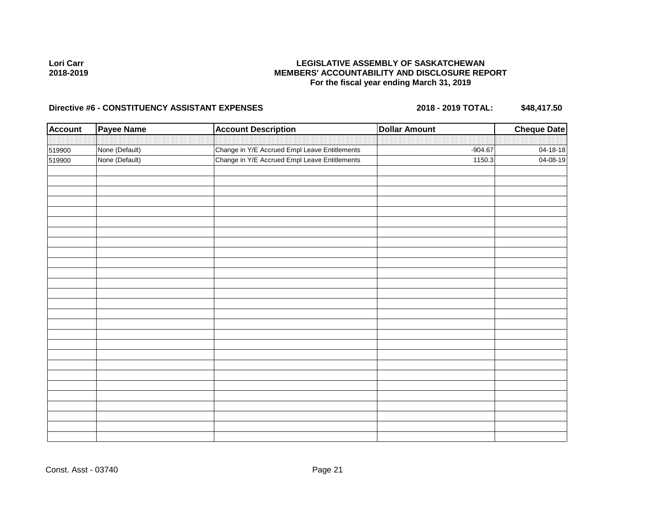## **LEGISLATIVE ASSEMBLY OF SASKATCHEWAN MEMBERS' ACCOUNTABILITY AND DISCLOSURE REPORT For the fiscal year ending March 31, 2019**

| <b>Account</b> | <b>Payee Name</b> | <b>Account Description</b>                    | <b>Dollar Amount</b> | <b>Cheque Date</b> |
|----------------|-------------------|-----------------------------------------------|----------------------|--------------------|
|                |                   |                                               |                      |                    |
| 519900         | None (Default)    | Change in Y/E Accrued Empl Leave Entitlements | $-904.67$            | 04-18-18           |
| 519900         | None (Default)    | Change in Y/E Accrued Empl Leave Entitlements | 1150.3               | 04-08-19           |
|                |                   |                                               |                      |                    |
|                |                   |                                               |                      |                    |
|                |                   |                                               |                      |                    |
|                |                   |                                               |                      |                    |
|                |                   |                                               |                      |                    |
|                |                   |                                               |                      |                    |
|                |                   |                                               |                      |                    |
|                |                   |                                               |                      |                    |
|                |                   |                                               |                      |                    |
|                |                   |                                               |                      |                    |
|                |                   |                                               |                      |                    |
|                |                   |                                               |                      |                    |
|                |                   |                                               |                      |                    |
|                |                   |                                               |                      |                    |
|                |                   |                                               |                      |                    |
|                |                   |                                               |                      |                    |
|                |                   |                                               |                      |                    |
|                |                   |                                               |                      |                    |
|                |                   |                                               |                      |                    |
|                |                   |                                               |                      |                    |
|                |                   |                                               |                      |                    |
|                |                   |                                               |                      |                    |
|                |                   |                                               |                      |                    |